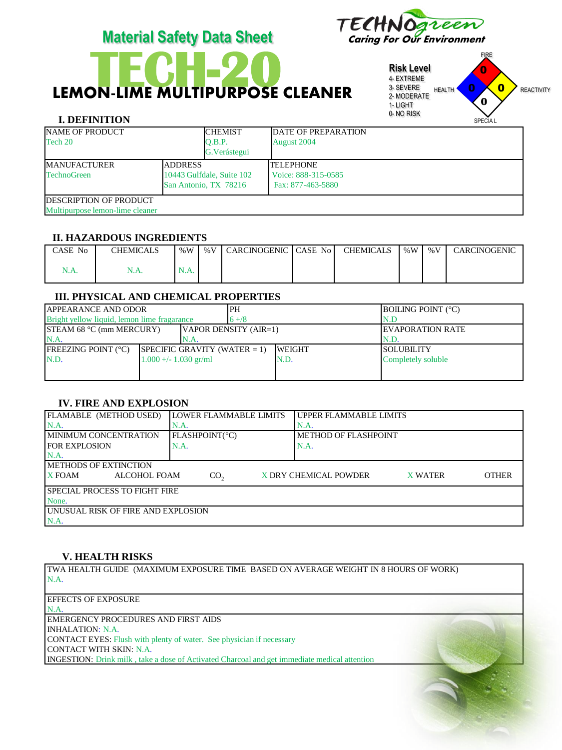

# LEMON-LIME MULTIPURPOSE CLEANER

**Risk Level** 4- EXTREME 3- SEVERE 2- MODERATE 1- LIGHT 0- NO RISK FIRE HEALTH **U U REACTIVITY** SPECIA L 0  $\overline{\mathbf{0}}$ 0 **0**

## **I. DEFINITION**

| <b>NAME OF PRODUCT</b><br>Tech 20                                 |                       | <b>CHEMIST</b><br>Q.B.P.  | DATE OF PREPARATION<br>August 2004      |  |  |
|-------------------------------------------------------------------|-----------------------|---------------------------|-----------------------------------------|--|--|
|                                                                   |                       | G. Verástegui             |                                         |  |  |
| <b>ADDRESS</b><br><b>MANUFACTURER</b><br><b>TechnoGreen</b>       |                       | 10443 Gulfdale, Suite 102 | <b>TELEPHONE</b><br>Voice: 888-315-0585 |  |  |
| <b>IDESCRIPTION OF PRODUCT</b><br>Multipurpose lemon-lime cleaner | San Antonio, TX 78216 |                           | Fax: 877-463-5880                       |  |  |

#### **II. HAZARDOUS INGREDIENTS**

| CASE No | CHEMICALS | % $W$ | % $V$ | CARCINOGENIC CASE No | CHEMICALS | %W | % $V$ | CARCINOGENIC |
|---------|-----------|-------|-------|----------------------|-----------|----|-------|--------------|
| 1.A.    | N.A.      | N.A.  |       |                      |           |    |       |              |

# **III. PHYSICAL AND CHEMICAL PROPERTIES**

| <b>JAPPEARANCE AND ODOR</b>                 |  | 'PH                             |                       | <b>BOILING POINT (°C)</b> |                          |  |
|---------------------------------------------|--|---------------------------------|-----------------------|---------------------------|--------------------------|--|
| Bright yellow liquid, lemon lime fragarance |  |                                 | $6 + 8$               |                           | N.D                      |  |
| <b>STEAM 68 °C (mm MERCURY)</b>             |  |                                 | VAPOR DENSITY (AIR=1) |                           | <b>IEVAPORATION RATE</b> |  |
| N.A.<br>N.A.                                |  |                                 |                       | N.D.                      |                          |  |
| <b>FREEZING POINT (°C)</b>                  |  | SPECIFIC GRAVITY (WATER $= 1$ ) |                       | <b>WEIGHT</b>             | ISOLUBILITY              |  |
| N.D.<br>$1.000 +/- 1.030$ gr/ml             |  |                                 | IN.D.                 | Completely soluble        |                          |  |
|                                             |  |                                 |                       |                           |                          |  |
|                                             |  |                                 |                       |                           |                          |  |

# **IV. FIRE AND EXPLOSION**

| FLAMABLE (METHOD USED)               | LOWER FLAMMABLE LIMITS | UPPER FLAMMABLE LIMITS                                  |
|--------------------------------------|------------------------|---------------------------------------------------------|
| $NA$ .                               | IN.A.                  | IN.A                                                    |
| I MINIMUM CONCENTRATION              | FLASHPOINT(°C)         | I METHOD OF FLASHPOINT                                  |
| <b>FOR EXPLOSION</b>                 | N.A.                   | IN.A.                                                   |
| N.A                                  |                        |                                                         |
| <b>IMETHODS OF EXTINCTION</b>        |                        |                                                         |
| <b>X FOAM</b><br>ALCOHOL FOAM        | CO <sub>2</sub>        | X DRY CHEMICAL POWDER<br><b>OTHER</b><br><b>X WATER</b> |
| <b>SPECIAL PROCESS TO FIGHT FIRE</b> |                        |                                                         |
| None.                                |                        |                                                         |
| LUNUSUAL RISK OF FIRE AND EXPLOSION  |                        |                                                         |
| N.A.                                 |                        |                                                         |

## **V. HEALTH RISKS**

TWA HEALTH GUIDE (MAXIMUM EXPOSURE TIME BASED ON AVERAGE WEIGHT IN 8 HOURS OF WORK) N.A.

| <b>EFFECTS OF EXPOSURE</b>                                                                          |  |
|-----------------------------------------------------------------------------------------------------|--|
| N.A.                                                                                                |  |
| <b>EMERGENCY PROCEDURES AND FIRST AIDS</b>                                                          |  |
| INHALATION: N.A.                                                                                    |  |
| <b>CONTACT EYES:</b> Flush with plenty of water. See physician if necessary                         |  |
| CONTACT WITH SKIN: N.A.                                                                             |  |
| <b>INGESTION:</b> Drink milk, take a dose of Activated Charcoal and get immediate medical attention |  |